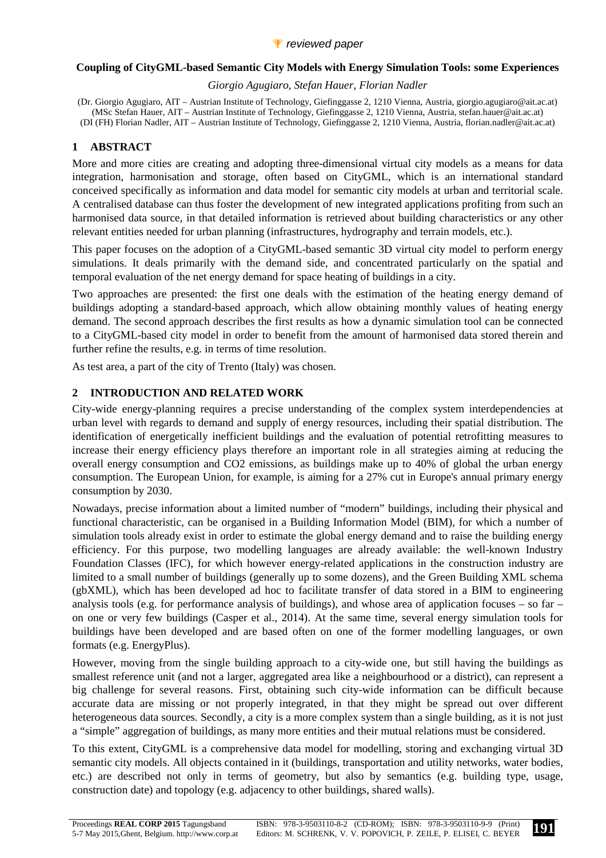### *P* reviewed paper

## **Coupling of CityGML-based Semantic City Models with Energy Simulation Tools: some Experiences**

*Giorgio Agugiaro, Stefan Hauer, Florian Nadler* 

(Dr. Giorgio Agugiaro, AIT – Austrian Institute of Technology, Giefinggasse 2, 1210 Vienna, Austria, giorgio.agugiaro@ait.ac.at) (MSc Stefan Hauer, AIT – Austrian Institute of Technology, Giefinggasse 2, 1210 Vienna, Austria, stefan.hauer@ait.ac.at) (DI (FH) Florian Nadler, AIT – Austrian Institute of Technology, Giefinggasse 2, 1210 Vienna, Austria, florian.nadler@ait.ac.at)

# **1 ABSTRACT**

More and more cities are creating and adopting three-dimensional virtual city models as a means for data integration, harmonisation and storage, often based on CityGML, which is an international standard conceived specifically as information and data model for semantic city models at urban and territorial scale. A centralised database can thus foster the development of new integrated applications profiting from such an harmonised data source, in that detailed information is retrieved about building characteristics or any other relevant entities needed for urban planning (infrastructures, hydrography and terrain models, etc.).

This paper focuses on the adoption of a CityGML-based semantic 3D virtual city model to perform energy simulations. It deals primarily with the demand side, and concentrated particularly on the spatial and temporal evaluation of the net energy demand for space heating of buildings in a city.

Two approaches are presented: the first one deals with the estimation of the heating energy demand of buildings adopting a standard-based approach, which allow obtaining monthly values of heating energy demand. The second approach describes the first results as how a dynamic simulation tool can be connected to a CityGML-based city model in order to benefit from the amount of harmonised data stored therein and further refine the results, e.g. in terms of time resolution.

As test area, a part of the city of Trento (Italy) was chosen.

## **2 INTRODUCTION AND RELATED WORK**

City-wide energy-planning requires a precise understanding of the complex system interdependencies at urban level with regards to demand and supply of energy resources, including their spatial distribution. The identification of energetically inefficient buildings and the evaluation of potential retrofitting measures to increase their energy efficiency plays therefore an important role in all strategies aiming at reducing the overall energy consumption and CO2 emissions, as buildings make up to 40% of global the urban energy consumption. The European Union, for example, is aiming for a 27% cut in Europe's annual primary energy consumption by 2030.

Nowadays, precise information about a limited number of "modern" buildings, including their physical and functional characteristic, can be organised in a Building Information Model (BIM), for which a number of simulation tools already exist in order to estimate the global energy demand and to raise the building energy efficiency. For this purpose, two modelling languages are already available: the well-known Industry Foundation Classes (IFC), for which however energy-related applications in the construction industry are limited to a small number of buildings (generally up to some dozens), and the Green Building XML schema (gbXML), which has been developed ad hoc to facilitate transfer of data stored in a BIM to engineering analysis tools (e.g. for performance analysis of buildings), and whose area of application focuses – so far – on one or very few buildings (Casper et al., 2014). At the same time, several energy simulation tools for buildings have been developed and are based often on one of the former modelling languages, or own formats (e.g. EnergyPlus).

However, moving from the single building approach to a city-wide one, but still having the buildings as smallest reference unit (and not a larger, aggregated area like a neighbourhood or a district), can represent a big challenge for several reasons. First, obtaining such city-wide information can be difficult because accurate data are missing or not properly integrated, in that they might be spread out over different heterogeneous data sources. Secondly, a city is a more complex system than a single building, as it is not just a "simple" aggregation of buildings, as many more entities and their mutual relations must be considered.

To this extent, CityGML is a comprehensive data model for modelling, storing and exchanging virtual 3D semantic city models. All objects contained in it (buildings, transportation and utility networks, water bodies, etc.) are described not only in terms of geometry, but also by semantics (e.g. building type, usage, construction date) and topology (e.g. adjacency to other buildings, shared walls).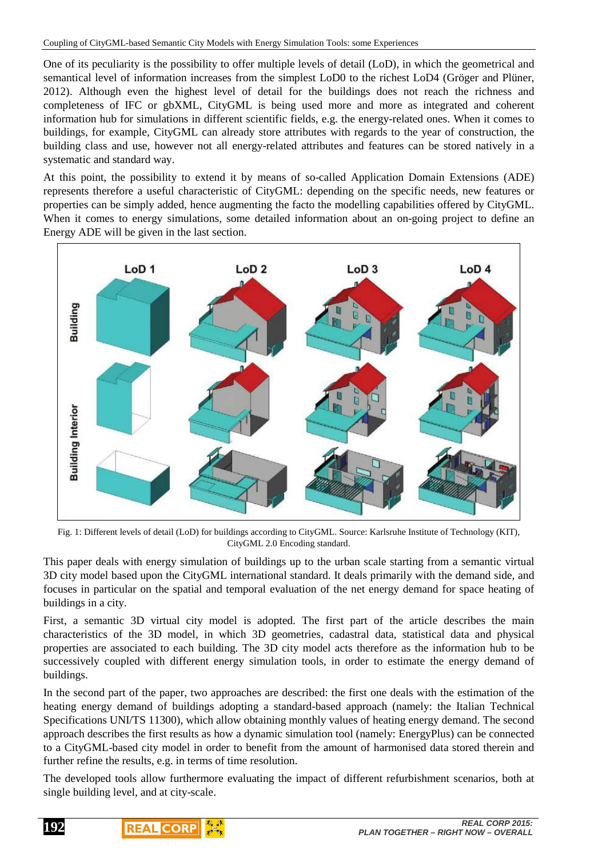One of its peculiarity is the possibility to offer multiple levels of detail (LoD), in which the geometrical and semantical level of information increases from the simplest LoD0 to the richest LoD4 (Gröger and Plüner, 2012). Although even the highest level of detail for the buildings does not reach the richness and completeness of IFC or gbXML, CityGML is being used more and more as integrated and coherent information hub for simulations in different scientific fields, e.g. the energy-related ones. When it comes to buildings, for example, CityGML can already store attributes with regards to the year of construction, the building class and use, however not all energy-related attributes and features can be stored natively in a systematic and standard way.

At this point, the possibility to extend it by means of so-called Application Domain Extensions (ADE) represents therefore a useful characteristic of CityGML: depending on the specific needs, new features or properties can be simply added, hence augmenting the facto the modelling capabilities offered by CityGML. When it comes to energy simulations, some detailed information about an on-going project to define an Energy ADE will be given in the last section.



Fig. 1: Different levels of detail (LoD) for buildings according to CityGML. Source: Karlsruhe Institute of Technology (KIT), CityGML 2.0 Encoding standard.

This paper deals with energy simulation of buildings up to the urban scale starting from a semantic virtual 3D city model based upon the CityGML international standard. It deals primarily with the demand side, and focuses in particular on the spatial and temporal evaluation of the net energy demand for space heating of buildings in a city.

First, a semantic 3D virtual city model is adopted. The first part of the article describes the main characteristics of the 3D model, in which 3D geometries, cadastral data, statistical data and physical properties are associated to each building. The 3D city model acts therefore as the information hub to be successively coupled with different energy simulation tools, in order to estimate the energy demand of buildings.

In the second part of the paper, two approaches are described: the first one deals with the estimation of the heating energy demand of buildings adopting a standard-based approach (namely: the Italian Technical Specifications UNI/TS 11300), which allow obtaining monthly values of heating energy demand. The second approach describes the first results as how a dynamic simulation tool (namely: EnergyPlus) can be connected to a CityGML-based city model in order to benefit from the amount of harmonised data stored therein and further refine the results, e.g. in terms of time resolution.

The developed tools allow furthermore evaluating the impact of different refurbishment scenarios, both at single building level, and at city-scale.

**REAL CORP** 

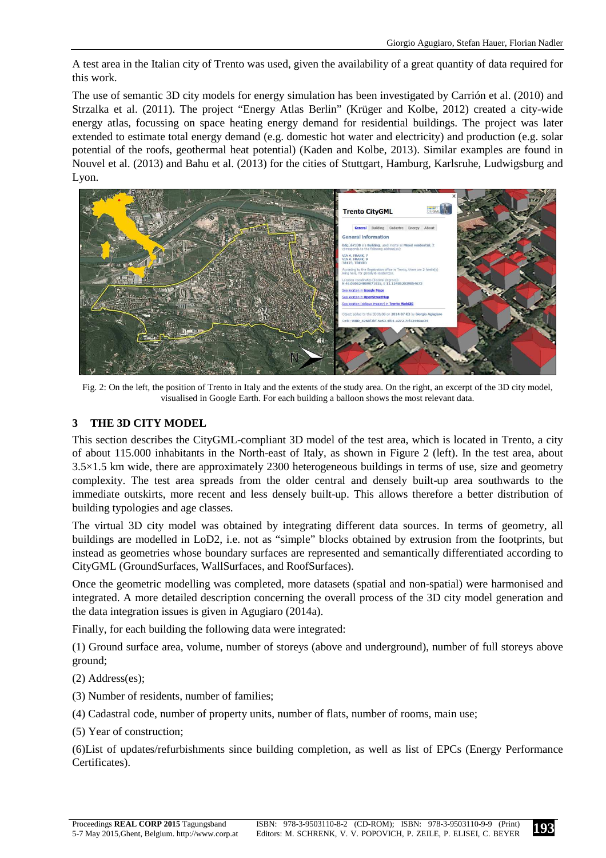A test area in the Italian city of Trento was used, given the availability of a great quantity of data required for this work.

The use of semantic 3D city models for energy simulation has been investigated by Carrión et al. (2010) and Strzalka et al. (2011). The project "Energy Atlas Berlin" (Krüger and Kolbe, 2012) created a city-wide energy atlas, focussing on space heating energy demand for residential buildings. The project was later extended to estimate total energy demand (e.g. domestic hot water and electricity) and production (e.g. solar potential of the roofs, geothermal heat potential) (Kaden and Kolbe, 2013). Similar examples are found in Nouvel et al. (2013) and Bahu et al. (2013) for the cities of Stuttgart, Hamburg, Karlsruhe, Ludwigsburg and Lyon.



Fig. 2: On the left, the position of Trento in Italy and the extents of the study area. On the right, an excerpt of the 3D city model, visualised in Google Earth. For each building a balloon shows the most relevant data.

# **3 THE 3D CITY MODEL**

This section describes the CityGML-compliant 3D model of the test area, which is located in Trento, a city of about 115.000 inhabitants in the North-east of Italy, as shown in Figure 2 (left). In the test area, about 3.5×1.5 km wide, there are approximately 2300 heterogeneous buildings in terms of use, size and geometry complexity. The test area spreads from the older central and densely built-up area southwards to the immediate outskirts, more recent and less densely built-up. This allows therefore a better distribution of building typologies and age classes.

The virtual 3D city model was obtained by integrating different data sources. In terms of geometry, all buildings are modelled in LoD2, i.e. not as "simple" blocks obtained by extrusion from the footprints, but instead as geometries whose boundary surfaces are represented and semantically differentiated according to CityGML (GroundSurfaces, WallSurfaces, and RoofSurfaces).

Once the geometric modelling was completed, more datasets (spatial and non-spatial) were harmonised and integrated. A more detailed description concerning the overall process of the 3D city model generation and the data integration issues is given in Agugiaro (2014a).

Finally, for each building the following data were integrated:

(1) Ground surface area, volume, number of storeys (above and underground), number of full storeys above ground;

(2) Address(es);

- (3) Number of residents, number of families;
- (4) Cadastral code, number of property units, number of flats, number of rooms, main use;
- (5) Year of construction;

(6)List of updates/refurbishments since building completion, as well as list of EPCs (Energy Performance Certificates).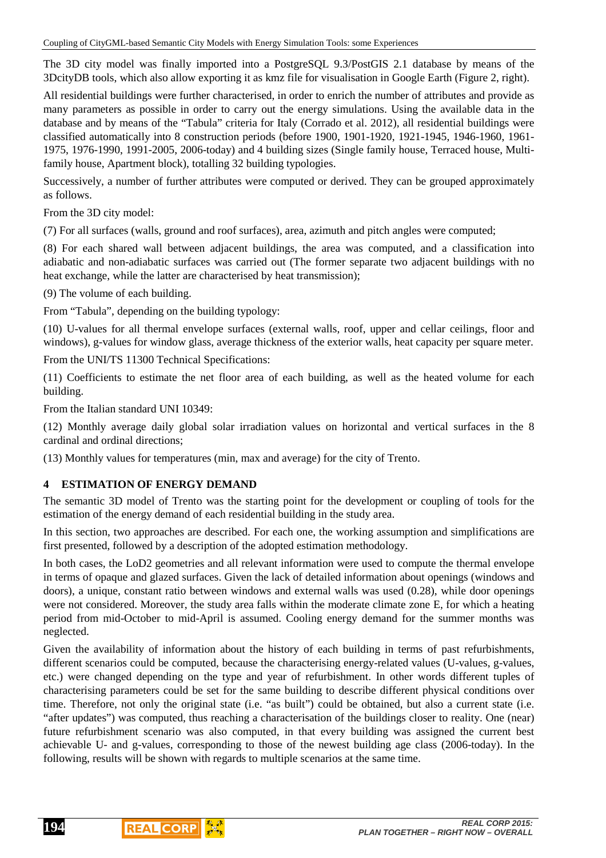The 3D city model was finally imported into a PostgreSQL 9.3/PostGIS 2.1 database by means of the 3DcityDB tools, which also allow exporting it as kmz file for visualisation in Google Earth (Figure 2, right).

All residential buildings were further characterised, in order to enrich the number of attributes and provide as many parameters as possible in order to carry out the energy simulations. Using the available data in the database and by means of the "Tabula" criteria for Italy (Corrado et al. 2012), all residential buildings were classified automatically into 8 construction periods (before 1900, 1901-1920, 1921-1945, 1946-1960, 1961- 1975, 1976-1990, 1991-2005, 2006-today) and 4 building sizes (Single family house, Terraced house, Multifamily house, Apartment block), totalling 32 building typologies.

Successively, a number of further attributes were computed or derived. They can be grouped approximately as follows.

From the 3D city model:

(7) For all surfaces (walls, ground and roof surfaces), area, azimuth and pitch angles were computed;

(8) For each shared wall between adjacent buildings, the area was computed, and a classification into adiabatic and non-adiabatic surfaces was carried out (The former separate two adjacent buildings with no heat exchange, while the latter are characterised by heat transmission);

(9) The volume of each building.

From "Tabula", depending on the building typology:

(10) U-values for all thermal envelope surfaces (external walls, roof, upper and cellar ceilings, floor and windows), g-values for window glass, average thickness of the exterior walls, heat capacity per square meter.

From the UNI/TS 11300 Technical Specifications:

(11) Coefficients to estimate the net floor area of each building, as well as the heated volume for each building.

From the Italian standard UNI 10349:

(12) Monthly average daily global solar irradiation values on horizontal and vertical surfaces in the 8 cardinal and ordinal directions;

(13) Monthly values for temperatures (min, max and average) for the city of Trento.

## **4 ESTIMATION OF ENERGY DEMAND**

The semantic 3D model of Trento was the starting point for the development or coupling of tools for the estimation of the energy demand of each residential building in the study area.

In this section, two approaches are described. For each one, the working assumption and simplifications are first presented, followed by a description of the adopted estimation methodology.

In both cases, the LoD2 geometries and all relevant information were used to compute the thermal envelope in terms of opaque and glazed surfaces. Given the lack of detailed information about openings (windows and doors), a unique, constant ratio between windows and external walls was used (0.28), while door openings were not considered. Moreover, the study area falls within the moderate climate zone E, for which a heating period from mid-October to mid-April is assumed. Cooling energy demand for the summer months was neglected.

Given the availability of information about the history of each building in terms of past refurbishments, different scenarios could be computed, because the characterising energy-related values (U-values, g-values, etc.) were changed depending on the type and year of refurbishment. In other words different tuples of characterising parameters could be set for the same building to describe different physical conditions over time. Therefore, not only the original state (i.e. "as built") could be obtained, but also a current state (i.e. "after updates") was computed, thus reaching a characterisation of the buildings closer to reality. One (near) future refurbishment scenario was also computed, in that every building was assigned the current best achievable U- and g-values, corresponding to those of the newest building age class (2006-today). In the following, results will be shown with regards to multiple scenarios at the same time.

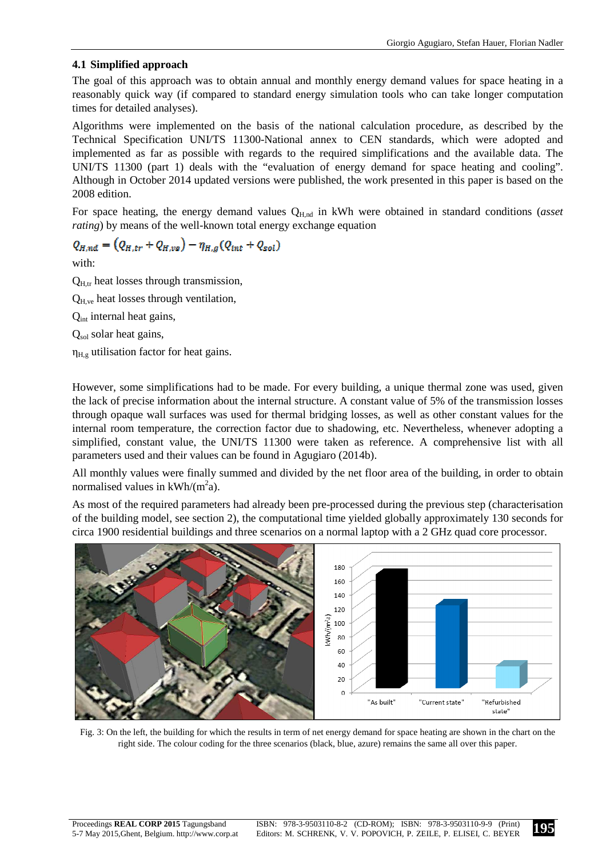#### **4.1 Simplified approach**

The goal of this approach was to obtain annual and monthly energy demand values for space heating in a reasonably quick way (if compared to standard energy simulation tools who can take longer computation times for detailed analyses).

Algorithms were implemented on the basis of the national calculation procedure, as described by the Technical Specification UNI/TS 11300-National annex to CEN standards, which were adopted and implemented as far as possible with regards to the required simplifications and the available data. The UNI/TS 11300 (part 1) deals with the "evaluation of energy demand for space heating and cooling". Although in October 2014 updated versions were published, the work presented in this paper is based on the 2008 edition.

For space heating, the energy demand values Q<sub>H,nd</sub> in kWh were obtained in standard conditions (*asset rating*) by means of the well-known total energy exchange equation

$$
Q_{H,nd} = (Q_{H,tr} + Q_{H,ve}) - \eta_{H,g}(Q_{int} + Q_{sol})
$$

with:

 $Q<sub>H,tr</sub>$  heat losses through transmission,

 $Q<sub>H,ve</sub>$  heat losses through ventilation,

Qint internal heat gains,

 $Q<sub>sol</sub>$  solar heat gains,

 $\eta_H$ <sub>g</sub> utilisation factor for heat gains.

However, some simplifications had to be made. For every building, a unique thermal zone was used, given the lack of precise information about the internal structure. A constant value of 5% of the transmission losses through opaque wall surfaces was used for thermal bridging losses, as well as other constant values for the internal room temperature, the correction factor due to shadowing, etc. Nevertheless, whenever adopting a simplified, constant value, the UNI/TS 11300 were taken as reference. A comprehensive list with all parameters used and their values can be found in Agugiaro (2014b).

All monthly values were finally summed and divided by the net floor area of the building, in order to obtain normalised values in  $kWh/(m^2a)$ .

As most of the required parameters had already been pre-processed during the previous step (characterisation of the building model, see section 2), the computational time yielded globally approximately 130 seconds for circa 1900 residential buildings and three scenarios on a normal laptop with a 2 GHz quad core processor.



Fig. 3: On the left, the building for which the results in term of net energy demand for space heating are shown in the chart on the right side. The colour coding for the three scenarios (black, blue, azure) remains the same all over this paper.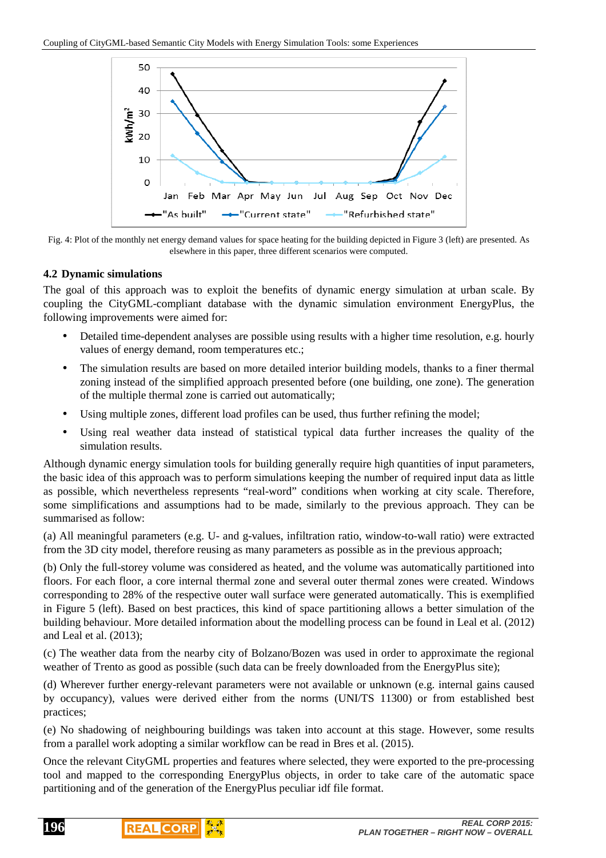

Fig. 4: Plot of the monthly net energy demand values for space heating for the building depicted in Figure 3 (left) are presented. As elsewhere in this paper, three different scenarios were computed.

## **4.2 Dynamic simulations**

The goal of this approach was to exploit the benefits of dynamic energy simulation at urban scale. By coupling the CityGML-compliant database with the dynamic simulation environment EnergyPlus, the following improvements were aimed for:

- Detailed time-dependent analyses are possible using results with a higher time resolution, e.g. hourly values of energy demand, room temperatures etc.;
- The simulation results are based on more detailed interior building models, thanks to a finer thermal zoning instead of the simplified approach presented before (one building, one zone). The generation of the multiple thermal zone is carried out automatically;
- Using multiple zones, different load profiles can be used, thus further refining the model;
- Using real weather data instead of statistical typical data further increases the quality of the simulation results.

Although dynamic energy simulation tools for building generally require high quantities of input parameters, the basic idea of this approach was to perform simulations keeping the number of required input data as little as possible, which nevertheless represents "real-word" conditions when working at city scale. Therefore, some simplifications and assumptions had to be made, similarly to the previous approach. They can be summarised as follow:

(a) All meaningful parameters (e.g. U- and g-values, infiltration ratio, window-to-wall ratio) were extracted from the 3D city model, therefore reusing as many parameters as possible as in the previous approach;

(b) Only the full-storey volume was considered as heated, and the volume was automatically partitioned into floors. For each floor, a core internal thermal zone and several outer thermal zones were created. Windows corresponding to 28% of the respective outer wall surface were generated automatically. This is exemplified in Figure 5 (left). Based on best practices, this kind of space partitioning allows a better simulation of the building behaviour. More detailed information about the modelling process can be found in Leal et al. (2012) and Leal et al. (2013);

(c) The weather data from the nearby city of Bolzano/Bozen was used in order to approximate the regional weather of Trento as good as possible (such data can be freely downloaded from the EnergyPlus site);

(d) Wherever further energy-relevant parameters were not available or unknown (e.g. internal gains caused by occupancy), values were derived either from the norms (UNI/TS 11300) or from established best practices;

(e) No shadowing of neighbouring buildings was taken into account at this stage. However, some results from a parallel work adopting a similar workflow can be read in Bres et al. (2015).

Once the relevant CityGML properties and features where selected, they were exported to the pre-processing tool and mapped to the corresponding EnergyPlus objects, in order to take care of the automatic space partitioning and of the generation of the EnergyPlus peculiar idf file format.

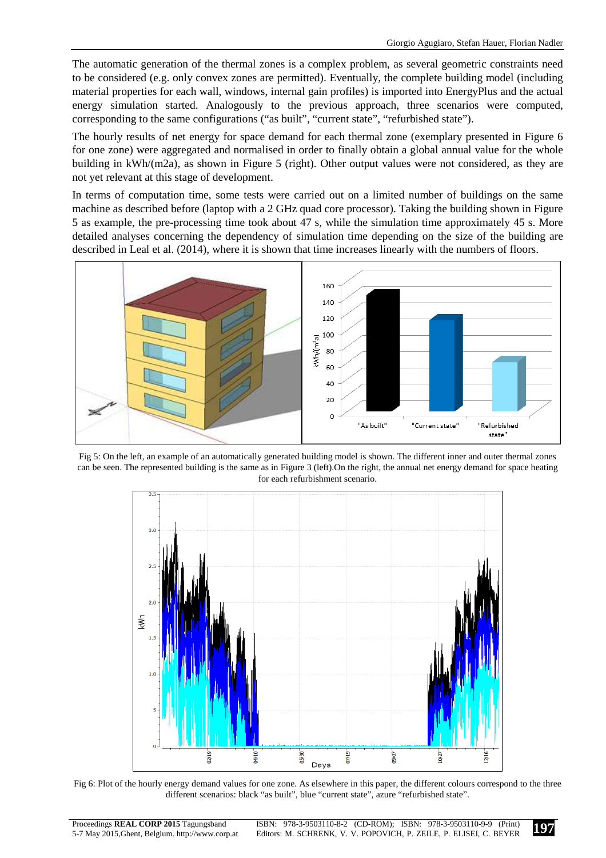The automatic generation of the thermal zones is a complex problem, as several geometric constraints need to be considered (e.g. only convex zones are permitted). Eventually, the complete building model (including material properties for each wall, windows, internal gain profiles) is imported into EnergyPlus and the actual energy simulation started. Analogously to the previous approach, three scenarios were computed, corresponding to the same configurations ("as built", "current state", "refurbished state").

The hourly results of net energy for space demand for each thermal zone (exemplary presented in Figure 6 for one zone) were aggregated and normalised in order to finally obtain a global annual value for the whole building in kWh/(m2a), as shown in Figure 5 (right). Other output values were not considered, as they are not yet relevant at this stage of development.

In terms of computation time, some tests were carried out on a limited number of buildings on the same machine as described before (laptop with a 2 GHz quad core processor). Taking the building shown in Figure 5 as example, the pre-processing time took about 47 s, while the simulation time approximately 45 s. More detailed analyses concerning the dependency of simulation time depending on the size of the building are described in Leal et al. (2014), where it is shown that time increases linearly with the numbers of floors.



Fig 5: On the left, an example of an automatically generated building model is shown. The different inner and outer thermal zones can be seen. The represented building is the same as in Figure 3 (left).On the right, the annual net energy demand for space heating for each refurbishment scenario.



Fig 6: Plot of the hourly energy demand values for one zone. As elsewhere in this paper, the different colours correspond to the three different scenarios: black "as built", blue "current state", azure "refurbished state".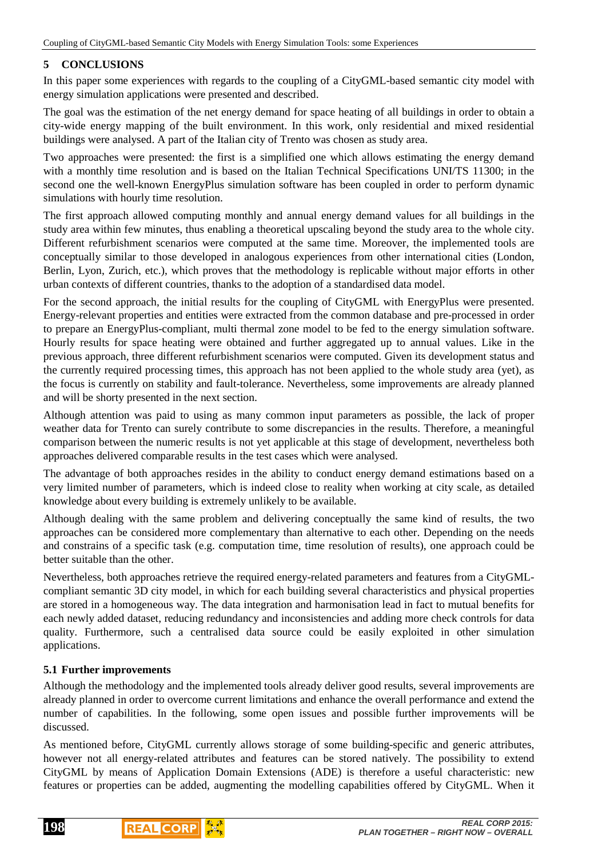## **5 CONCLUSIONS**

In this paper some experiences with regards to the coupling of a CityGML-based semantic city model with energy simulation applications were presented and described.

The goal was the estimation of the net energy demand for space heating of all buildings in order to obtain a city-wide energy mapping of the built environment. In this work, only residential and mixed residential buildings were analysed. A part of the Italian city of Trento was chosen as study area.

Two approaches were presented: the first is a simplified one which allows estimating the energy demand with a monthly time resolution and is based on the Italian Technical Specifications UNI/TS 11300; in the second one the well-known EnergyPlus simulation software has been coupled in order to perform dynamic simulations with hourly time resolution.

The first approach allowed computing monthly and annual energy demand values for all buildings in the study area within few minutes, thus enabling a theoretical upscaling beyond the study area to the whole city. Different refurbishment scenarios were computed at the same time. Moreover, the implemented tools are conceptually similar to those developed in analogous experiences from other international cities (London, Berlin, Lyon, Zurich, etc.), which proves that the methodology is replicable without major efforts in other urban contexts of different countries, thanks to the adoption of a standardised data model.

For the second approach, the initial results for the coupling of CityGML with EnergyPlus were presented. Energy-relevant properties and entities were extracted from the common database and pre-processed in order to prepare an EnergyPlus-compliant, multi thermal zone model to be fed to the energy simulation software. Hourly results for space heating were obtained and further aggregated up to annual values. Like in the previous approach, three different refurbishment scenarios were computed. Given its development status and the currently required processing times, this approach has not been applied to the whole study area (yet), as the focus is currently on stability and fault-tolerance. Nevertheless, some improvements are already planned and will be shorty presented in the next section.

Although attention was paid to using as many common input parameters as possible, the lack of proper weather data for Trento can surely contribute to some discrepancies in the results. Therefore, a meaningful comparison between the numeric results is not yet applicable at this stage of development, nevertheless both approaches delivered comparable results in the test cases which were analysed.

The advantage of both approaches resides in the ability to conduct energy demand estimations based on a very limited number of parameters, which is indeed close to reality when working at city scale, as detailed knowledge about every building is extremely unlikely to be available.

Although dealing with the same problem and delivering conceptually the same kind of results, the two approaches can be considered more complementary than alternative to each other. Depending on the needs and constrains of a specific task (e.g. computation time, time resolution of results), one approach could be better suitable than the other.

Nevertheless, both approaches retrieve the required energy-related parameters and features from a CityGMLcompliant semantic 3D city model, in which for each building several characteristics and physical properties are stored in a homogeneous way. The data integration and harmonisation lead in fact to mutual benefits for each newly added dataset, reducing redundancy and inconsistencies and adding more check controls for data quality. Furthermore, such a centralised data source could be easily exploited in other simulation applications.

## **5.1 Further improvements**

Although the methodology and the implemented tools already deliver good results, several improvements are already planned in order to overcome current limitations and enhance the overall performance and extend the number of capabilities. In the following, some open issues and possible further improvements will be discussed.

As mentioned before, CityGML currently allows storage of some building-specific and generic attributes, however not all energy-related attributes and features can be stored natively. The possibility to extend CityGML by means of Application Domain Extensions (ADE) is therefore a useful characteristic: new features or properties can be added, augmenting the modelling capabilities offered by CityGML. When it

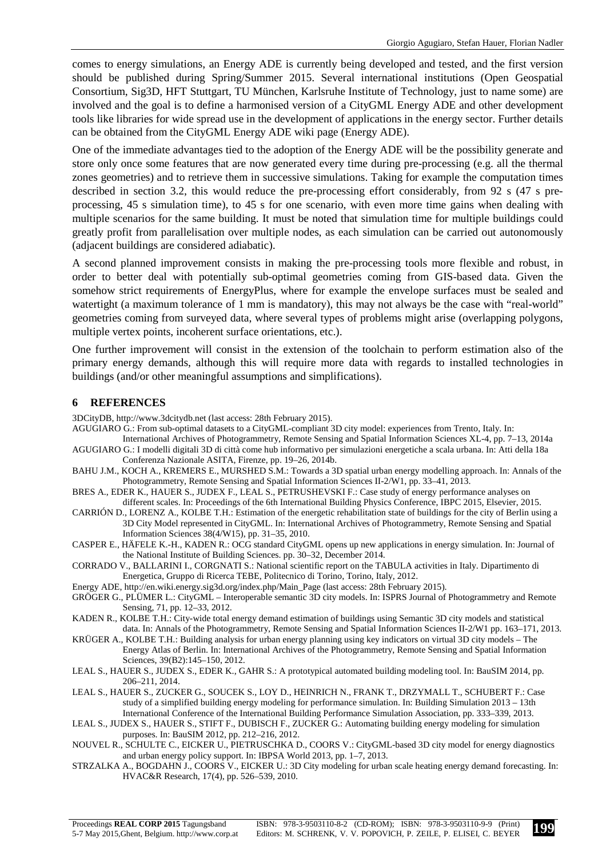comes to energy simulations, an Energy ADE is currently being developed and tested, and the first version should be published during Spring/Summer 2015. Several international institutions (Open Geospatial Consortium, Sig3D, HFT Stuttgart, TU München, Karlsruhe Institute of Technology, just to name some) are involved and the goal is to define a harmonised version of a CityGML Energy ADE and other development tools like libraries for wide spread use in the development of applications in the energy sector. Further details can be obtained from the CityGML Energy ADE wiki page (Energy ADE).

One of the immediate advantages tied to the adoption of the Energy ADE will be the possibility generate and store only once some features that are now generated every time during pre-processing (e.g. all the thermal zones geometries) and to retrieve them in successive simulations. Taking for example the computation times described in section 3.2, this would reduce the pre-processing effort considerably, from 92 s (47 s preprocessing, 45 s simulation time), to 45 s for one scenario, with even more time gains when dealing with multiple scenarios for the same building. It must be noted that simulation time for multiple buildings could greatly profit from parallelisation over multiple nodes, as each simulation can be carried out autonomously (adjacent buildings are considered adiabatic).

A second planned improvement consists in making the pre-processing tools more flexible and robust, in order to better deal with potentially sub-optimal geometries coming from GIS-based data. Given the somehow strict requirements of EnergyPlus, where for example the envelope surfaces must be sealed and watertight (a maximum tolerance of 1 mm is mandatory), this may not always be the case with "real-world" geometries coming from surveyed data, where several types of problems might arise (overlapping polygons, multiple vertex points, incoherent surface orientations, etc.).

One further improvement will consist in the extension of the toolchain to perform estimation also of the primary energy demands, although this will require more data with regards to installed technologies in buildings (and/or other meaningful assumptions and simplifications).

#### **6 REFERENCES**

3DCityDB, http://www.3dcitydb.net (last access: 28th February 2015).

AGUGIARO G.: From sub-optimal datasets to a CityGML-compliant 3D city model: experiences from Trento, Italy. In:

- International Archives of Photogrammetry, Remote Sensing and Spatial Information Sciences XL-4, pp. 7–13, 2014a AGUGIARO G.: I modelli digitali 3D di città come hub informativo per simulazioni energetiche a scala urbana. In: Atti della 18a Conferenza Nazionale ASITA, Firenze, pp. 19–26, 2014b.
- BAHU J.M., KOCH A., KREMERS E., MURSHED S.M.: Towards a 3D spatial urban energy modelling approach. In: Annals of the Photogrammetry, Remote Sensing and Spatial Information Sciences II-2/W1, pp. 33–41, 2013.

BRES A., EDER K., HAUER S., JUDEX F., LEAL S., PETRUSHEVSKI F.: Case study of energy performance analyses on different scales. In: Proceedings of the 6th International Building Physics Conference, IBPC 2015, Elsevier, 2015.

CARRIÓN D., LORENZ A., KOLBE T.H.: Estimation of the energetic rehabilitation state of buildings for the city of Berlin using a 3D City Model represented in CityGML. In: International Archives of Photogrammetry, Remote Sensing and Spatial Information Sciences 38(4/W15), pp. 31–35, 2010.

CASPER E., HÄFELE K.-H., KADEN R.: OCG standard CityGML opens up new applications in energy simulation. In: Journal of the National Institute of Building Sciences. pp. 30–32, December 2014.

CORRADO V., BALLARINI I., CORGNATI S.: National scientific report on the TABULA activities in Italy. Dipartimento di Energetica, Gruppo di Ricerca TEBE, Politecnico di Torino, Torino, Italy, 2012.

Energy ADE, http://en.wiki.energy.sig3d.org/index.php/Main\_Page (last access: 28th February 2015).

GRÖGER G., PLÜMER L.: CityGML – Interoperable semantic 3D city models. In: ISPRS Journal of Photogrammetry and Remote Sensing, 71, pp. 12–33, 2012.

KADEN R., KOLBE T.H.: City-wide total energy demand estimation of buildings using Semantic 3D city models and statistical data. In: Annals of the Photogrammetry, Remote Sensing and Spatial Information Sciences II-2/W1 pp. 163–171, 2013.

KRÜGER A., KOLBE T.H.: Building analysis for urban energy planning using key indicators on virtual 3D city models – The Energy Atlas of Berlin. In: International Archives of the Photogrammetry, Remote Sensing and Spatial Information Sciences, 39(B2):145–150, 2012.

LEAL S., HAUER S., JUDEX S., EDER K., GAHR S.: A prototypical automated building modeling tool. In: BauSIM 2014, pp. 206–211, 2014.

LEAL S., HAUER S., ZUCKER G., SOUCEK S., LOY D., HEINRICH N., FRANK T., DRZYMALL T., SCHUBERT F.: Case study of a simplified building energy modeling for performance simulation. In: Building Simulation 2013 – 13th International Conference of the International Building Performance Simulation Association, pp. 333–339, 2013.

LEAL S., JUDEX S., HAUER S., STIFT F., DUBISCH F., ZUCKER G.: Automating building energy modeling for simulation purposes. In: BauSIM 2012, pp. 212–216, 2012.

NOUVEL R., SCHULTE C., EICKER U., PIETRUSCHKA D., COORS V.: CityGML-based 3D city model for energy diagnostics and urban energy policy support. In: IBPSA World 2013, pp. 1–7, 2013.

STRZALKA A., BOGDAHN J., COORS V., EICKER U.: 3D City modeling for urban scale heating energy demand forecasting. In: HVAC&R Research, 17(4), pp. 526–539, 2010.